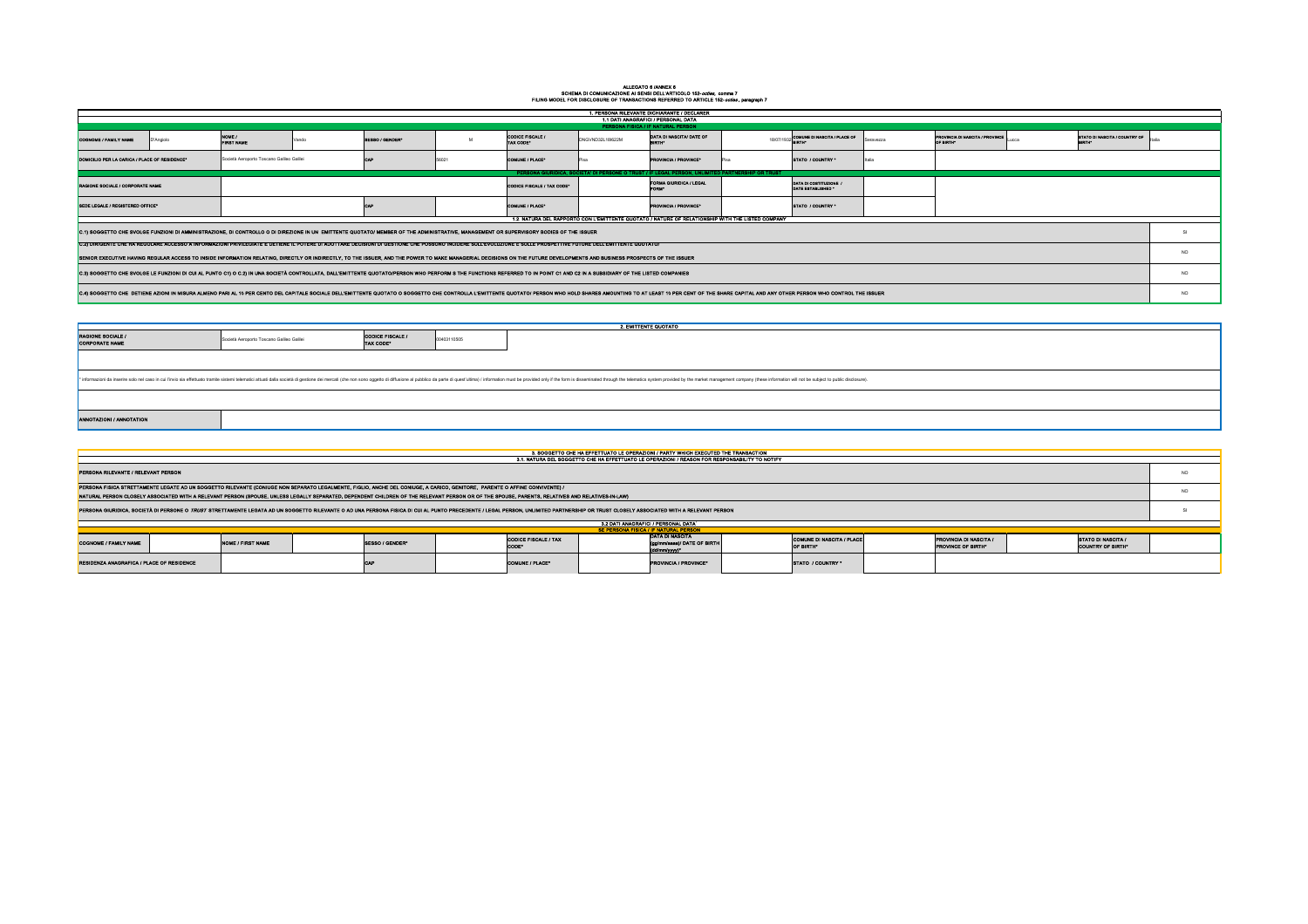## ALLEGATO 6 /ANNEX 6 SCHEMA DI COMUNICAZIONE AI SENSI DELL'ARTICOLO 152-*octies,* comma 7

|                                             | SE PERSONA FISICA / IF NATURAL PERSON                                |                                                      |  |
|---------------------------------------------|----------------------------------------------------------------------|------------------------------------------------------|--|
| <b>CODICE FISCALE / TAX</b><br><b>CODE*</b> | IDATA DI NASCITA<br>(gg/mm/aaaa)/ DATE OF BIRTH<br>$ $ (dd/mm/yyyy)* | <b>COMUNE DI NASCITA / PLACE</b><br><b>OF BIRTH*</b> |  |
| <b>COMUNE / PLACE*</b>                      | <b>IPROVINCIA / PROVINCE*</b>                                        | <b>ISTATO / COUNTRY *</b>                            |  |

|                                                                                                                                                                                                                                                                                                                                                                                                             | FILING MODEL FOR DISCLOSURE OF TRANSACTIONS REFERRED TO ARTICLE 152- <i>octies</i> , paragraph 7 |                                           |       |                                                                                                                                                                                                                                                                                                                                                                                 |             |                                      |                  |                                                                                                                                                                                                                                     |  |                                              |           |                                                            |                                                |                |
|-------------------------------------------------------------------------------------------------------------------------------------------------------------------------------------------------------------------------------------------------------------------------------------------------------------------------------------------------------------------------------------------------------------|--------------------------------------------------------------------------------------------------|-------------------------------------------|-------|---------------------------------------------------------------------------------------------------------------------------------------------------------------------------------------------------------------------------------------------------------------------------------------------------------------------------------------------------------------------------------|-------------|--------------------------------------|------------------|-------------------------------------------------------------------------------------------------------------------------------------------------------------------------------------------------------------------------------------|--|----------------------------------------------|-----------|------------------------------------------------------------|------------------------------------------------|----------------|
|                                                                                                                                                                                                                                                                                                                                                                                                             | 1. PERSONA RILEVANTE DICHIARANTE / DECLARER<br>1.1 DATI ANAGRAFICI / PERSONAL DATA               |                                           |       |                                                                                                                                                                                                                                                                                                                                                                                 |             |                                      |                  |                                                                                                                                                                                                                                     |  |                                              |           |                                                            |                                                |                |
|                                                                                                                                                                                                                                                                                                                                                                                                             |                                                                                                  |                                           |       |                                                                                                                                                                                                                                                                                                                                                                                 |             |                                      |                  | PERSONA FISICA / IF NATURAL PERSON                                                                                                                                                                                                  |  |                                              |           |                                                            |                                                |                |
| <b>COGNOME / FAMILY NAME</b>                                                                                                                                                                                                                                                                                                                                                                                | D'Angiolo                                                                                        | NOME /<br><b>FIRST NAME</b>               | Vando | SESSO / GENDER*                                                                                                                                                                                                                                                                                                                                                                 |             | <b>CODICE FISCALE /</b><br>TAX CODE* | DNGVND32L18I622M | DATA DI NASCITA/ DATE OF<br><b>BIRTH*</b>                                                                                                                                                                                           |  | 18/07/1932 COMUNE DI NASCITA / PLACE OF      | Seravezza | <b>PROVINCIA DI NASCITA / PROVINCE</b><br>OF BIRTH*        | STATO DI NASCITA / COUNTRY OF<br><b>BIRTH*</b> | <b>Iltalia</b> |
| DOMICILIO PER LA CARICA / PLACE OF RESIDENCE*                                                                                                                                                                                                                                                                                                                                                               |                                                                                                  | Società Aeroporto Toscano Galileo Galilei |       | <b>CAP</b>                                                                                                                                                                                                                                                                                                                                                                      | 56021       | <b>COMUNE / PLACE*</b>               | l Pisa           | <b>PROVINCIA / PROVINCE*</b>                                                                                                                                                                                                        |  | STATO / COUNTRY *                            | Iltalia   |                                                            |                                                |                |
| PERSONA GIURIDICA, SOCIETA' DI PERSONE O TRUST / IF LEGAL PERSON, UNLIMITED PARTNERSHIP OR TRUST                                                                                                                                                                                                                                                                                                            |                                                                                                  |                                           |       |                                                                                                                                                                                                                                                                                                                                                                                 |             |                                      |                  |                                                                                                                                                                                                                                     |  |                                              |           |                                                            |                                                |                |
| RAGIONE SOCIALE / CORPORATE NAME                                                                                                                                                                                                                                                                                                                                                                            |                                                                                                  |                                           |       |                                                                                                                                                                                                                                                                                                                                                                                 |             | CODICE FISCALE / TAX CODE*           |                  | <b>FORMA GIURIDICA / LEGAL</b>                                                                                                                                                                                                      |  | DATA DI COSTITUZIONE /<br>DATE ESTABLISHED * |           |                                                            |                                                |                |
| SEDE LEGALE / REGISTERED OFFICE*                                                                                                                                                                                                                                                                                                                                                                            |                                                                                                  |                                           |       | <b>CAP</b>                                                                                                                                                                                                                                                                                                                                                                      |             | COMUNE / PLACE*                      |                  | <b>PROVINCIA / PROVINCE*</b>                                                                                                                                                                                                        |  | STATO / COUNTRY *                            |           |                                                            |                                                |                |
|                                                                                                                                                                                                                                                                                                                                                                                                             |                                                                                                  |                                           |       |                                                                                                                                                                                                                                                                                                                                                                                 |             |                                      |                  | 1.2. NATURA DEL RAPPORTO CON L'EMITTENTE QUOTATO / NATURE OF RELATIONSHIP WITH THE LISTED COMPANY                                                                                                                                   |  |                                              |           |                                                            |                                                |                |
| C.1) SOGGETTO CHE SVOLGE FUNZIONI DI AMMINISTRAZIONE, DI CONTROLLO O DI DIREZIONE IN UN EMITTENTE QUOTATO/ MEMBER OF THE ADMINISTRATIVE, MANAGEMENT OR SUPERVISORY BODIES OF THE ISSUER<br>C.2) DIRIGENTE CHE HA REGOLARE ACCESSO A INFORMAZIONI PRIVILEGIATE E DETIENE IL POTERE DI ADOTTARE DECISIONI DI GESTIONE CHE POSSONO INCIDERE SULL'EVOLUZIONE E SULLE PROSPETTIVE FUTURE DELL'EMITTENTE QUOTATO/ |                                                                                                  |                                           |       |                                                                                                                                                                                                                                                                                                                                                                                 |             |                                      |                  |                                                                                                                                                                                                                                     |  |                                              |           |                                                            |                                                |                |
| SENIOR EXECUTIVE HAVING REGULAR ACCESS TO INSIDE INFORMATION RELATING, DIRECTLY OR INDIRECTLY, TO THE ISSUER, AND THE POWER TO MAKE MANAGERIAL DECISIONS ON THE FUTURE DEVELOPMENTS AND BUSINESS PROSPECTS OF THE ISSUER                                                                                                                                                                                    |                                                                                                  |                                           |       |                                                                                                                                                                                                                                                                                                                                                                                 |             |                                      |                  |                                                                                                                                                                                                                                     |  |                                              |           | <b>NO</b>                                                  |                                                |                |
| C.3) SOGGETTO CHE SVOLGE LE FUNZIONI DI CUI AL PUNTO C1) O C.2) IN UNA SOCIETÀ CONTROLLATA, DALL'EMITTENTE QUOTATO/PERSON WHO PERFORM S THE FUNCTIONS REFERRED TO IN POINT C1 AND C2 IN A SUBSIDIARY OF THE LISTED COMPANIES                                                                                                                                                                                |                                                                                                  |                                           |       |                                                                                                                                                                                                                                                                                                                                                                                 |             |                                      |                  |                                                                                                                                                                                                                                     |  |                                              | <b>NO</b> |                                                            |                                                |                |
| C.4) SOGGETTO CHE DETIENE AZIONI IN MISURA ALMENO PARI AL 10 PER CENTO DEL CAPITALE SOCIALE DELL'EMITTENTE QUOTATO O SOGGETTO CHE CONTROLLA L'EMITTENTE QUOTATO / PERSON WHO HOLD SHARES AMOUNTING TO AT LEAST 10 PER CENT OF                                                                                                                                                                               |                                                                                                  |                                           |       |                                                                                                                                                                                                                                                                                                                                                                                 |             |                                      |                  |                                                                                                                                                                                                                                     |  | <b>NO</b>                                    |           |                                                            |                                                |                |
|                                                                                                                                                                                                                                                                                                                                                                                                             |                                                                                                  |                                           |       |                                                                                                                                                                                                                                                                                                                                                                                 |             |                                      |                  |                                                                                                                                                                                                                                     |  |                                              |           |                                                            |                                                |                |
|                                                                                                                                                                                                                                                                                                                                                                                                             |                                                                                                  |                                           |       |                                                                                                                                                                                                                                                                                                                                                                                 |             |                                      |                  | 2. EMITTENTE QUOTATO                                                                                                                                                                                                                |  |                                              |           |                                                            |                                                |                |
| <b>RAGIONE SOCIALE /</b><br><b>CORPORATE NAME</b>                                                                                                                                                                                                                                                                                                                                                           |                                                                                                  | Società Aeroporto Toscano Galileo Galilei |       | <b>CODICE FISCALE /</b><br><b>TAX CODE*</b>                                                                                                                                                                                                                                                                                                                                     | 00403110505 |                                      |                  |                                                                                                                                                                                                                                     |  |                                              |           |                                                            |                                                |                |
|                                                                                                                                                                                                                                                                                                                                                                                                             |                                                                                                  |                                           |       |                                                                                                                                                                                                                                                                                                                                                                                 |             |                                      |                  | * informazioni da inserire solo nel caso in cui l'invio sia effettuato tramite sistemi telematici attuati dalla società di gestione dei mercati (che non sono oggetto di diffusione al pubblico da parte di quest'ultima) / in      |  |                                              |           |                                                            |                                                |                |
|                                                                                                                                                                                                                                                                                                                                                                                                             |                                                                                                  |                                           |       |                                                                                                                                                                                                                                                                                                                                                                                 |             |                                      |                  |                                                                                                                                                                                                                                     |  |                                              |           |                                                            |                                                |                |
| ANNOTAZIONI / ANNOTATION                                                                                                                                                                                                                                                                                                                                                                                    |                                                                                                  |                                           |       |                                                                                                                                                                                                                                                                                                                                                                                 |             |                                      |                  |                                                                                                                                                                                                                                     |  |                                              |           |                                                            |                                                |                |
|                                                                                                                                                                                                                                                                                                                                                                                                             |                                                                                                  |                                           |       |                                                                                                                                                                                                                                                                                                                                                                                 |             |                                      |                  |                                                                                                                                                                                                                                     |  |                                              |           |                                                            |                                                |                |
|                                                                                                                                                                                                                                                                                                                                                                                                             |                                                                                                  |                                           |       |                                                                                                                                                                                                                                                                                                                                                                                 |             |                                      |                  | 3. SOGGETTO CHE HA EFFETTUATO LE OPERAZIONI / PARTY WHICH EXECUTED THE TRANSACTION<br>3.1. NATURA DEL SOGGETTO CHE HA EFFETTUATO LE OPERAZIONI / REASON FOR RESPONSABILITY TO NOTIFY                                                |  |                                              |           |                                                            |                                                |                |
| PERSONA RILEVANTE / RELEVANT PERSON                                                                                                                                                                                                                                                                                                                                                                         |                                                                                                  |                                           |       |                                                                                                                                                                                                                                                                                                                                                                                 |             |                                      |                  |                                                                                                                                                                                                                                     |  |                                              |           |                                                            |                                                | <b>NO</b>      |
|                                                                                                                                                                                                                                                                                                                                                                                                             |                                                                                                  |                                           |       | PERSONA FISICA STRETTAMENTE LEGATE AD UN SOGGETTO RILEVANTE (CONIUGE NON SEPARATO LEGALMENTE, FIGLIO, ANCHE DEL CONIUGE, A CARICO, GENITORE, PARENTE O AFFINE CONVIVENTE) /<br>NATURAL PERSON CLOSELY ASSOCIATED WITH A RELEVANT PERSON (SPOUSE, UNLESS LEGALLY SEPARATED, DEPENDENT CHILDREN OF THE RELEVANT PERSON OR OF THE SPOUSE, PARENTS, RELATIVES AND RELATIVES-IN-LAW) |             |                                      |                  |                                                                                                                                                                                                                                     |  |                                              |           |                                                            |                                                | <b>NO</b>      |
|                                                                                                                                                                                                                                                                                                                                                                                                             |                                                                                                  |                                           |       |                                                                                                                                                                                                                                                                                                                                                                                 |             |                                      |                  | PERSONA GIURIDICA, SOCIETÀ DI PERSONE O <i>TRUST</i> STRETTAMENTE LEGATA AD UN SOGGETTO RILEVANTE O AD UNA PERSONA FISICA DI CUI AL PUNTO PRECEDENTE / LEGAL PERSON, UNLIMITED PARTNERSHIP OR TRUST CLOSELY ASSOCIATED WITH A RELEV |  |                                              |           |                                                            |                                                | <b>SI</b>      |
|                                                                                                                                                                                                                                                                                                                                                                                                             |                                                                                                  |                                           |       |                                                                                                                                                                                                                                                                                                                                                                                 |             |                                      |                  | 3.2 DATI ANAGRAFICI / PERSONAL DATA $^{\rm 1}$                                                                                                                                                                                      |  |                                              |           |                                                            |                                                |                |
| COGNOME / FAMILY NAME                                                                                                                                                                                                                                                                                                                                                                                       |                                                                                                  | NOME / FIRST NAME                         |       | SESSO / GENDER*                                                                                                                                                                                                                                                                                                                                                                 |             | <b>CODICE FISCALE / TAX</b><br>CODE* |                  | SE PERSONA FISICA / IF NATURAL PERSON<br><b>DATA DI NASCITA</b><br>(gg/mm/aaaa)/ DATE OF BIRTH<br>(dd/mm/yyyy)*                                                                                                                     |  | COMUNE DI NASCITA / PLACE<br>OF BIRTH*       |           | <b>PROVINCIA DI NASCITA /</b><br><b>PROVINCE OF BIRTH*</b> | <b>STATO DI NASCITA /</b><br>COUNTRY OF BIRTH* |                |
| RESIDENZA ANAGRAFICA / PLACE OF RESIDENCE                                                                                                                                                                                                                                                                                                                                                                   |                                                                                                  |                                           |       | <b>CAP</b>                                                                                                                                                                                                                                                                                                                                                                      |             | COMUNE / PLACE*                      |                  | <b>PROVINCIA / PROVINCE*</b>                                                                                                                                                                                                        |  | STATO / COUNTRY *                            |           |                                                            |                                                |                |

| $\sim$ . The model is the procedure of the motion of the entreption in the period, paragraph $\epsilon$<br>1. PERSONA RILEVANTE DICHIARANTE / DECLARER                                                                                                                                                                                                                                                                                       |                                                                                                   |                                           |                                                                                                                                                                                                  |                 |          |                                      |                  |                                                                                                                                                                                                                                     |                                                                                                                                                                                                                                |                |                                                            |                        |                                         |           |
|----------------------------------------------------------------------------------------------------------------------------------------------------------------------------------------------------------------------------------------------------------------------------------------------------------------------------------------------------------------------------------------------------------------------------------------------|---------------------------------------------------------------------------------------------------|-------------------------------------------|--------------------------------------------------------------------------------------------------------------------------------------------------------------------------------------------------|-----------------|----------|--------------------------------------|------------------|-------------------------------------------------------------------------------------------------------------------------------------------------------------------------------------------------------------------------------------|--------------------------------------------------------------------------------------------------------------------------------------------------------------------------------------------------------------------------------|----------------|------------------------------------------------------------|------------------------|-----------------------------------------|-----------|
| 1.1 DATI ANAGRAFICI / PERSONAL DATA                                                                                                                                                                                                                                                                                                                                                                                                          |                                                                                                   |                                           |                                                                                                                                                                                                  |                 |          |                                      |                  |                                                                                                                                                                                                                                     |                                                                                                                                                                                                                                |                |                                                            |                        |                                         |           |
| PERSONA FISICA / IF NATURAL PERSON                                                                                                                                                                                                                                                                                                                                                                                                           |                                                                                                   |                                           |                                                                                                                                                                                                  |                 |          |                                      |                  |                                                                                                                                                                                                                                     |                                                                                                                                                                                                                                |                |                                                            |                        |                                         |           |
| <b>COGNOME / FAMILY NAME</b>                                                                                                                                                                                                                                                                                                                                                                                                                 | D'Angiolo                                                                                         | NOME /<br><b>FIRST NAME</b>               | Vando                                                                                                                                                                                            | SESSO / GENDER* | <b>M</b> | <b>CODICE FISCALE /</b><br>TAX CODE* | DNGVND32L18I622M | DATA DI NASCITA/ DATE OF                                                                                                                                                                                                            | 18/07/1932 COMUNE DI NASCITA / PLACE OF                                                                                                                                                                                        | Seravezza      | <b>PROVINCIA DI NASCITA / PROVINCE</b><br>OF BIRTH*        | Lucca<br><b>BIRTH*</b> | <b>STATO DI NASCITA / COUNTRY OF</b>    | Italia    |
| DOMICILIO PER LA CARICA / PLACE OF RESIDENCE*                                                                                                                                                                                                                                                                                                                                                                                                |                                                                                                   | Società Aeroporto Toscano Galileo Galilei |                                                                                                                                                                                                  | <b>CAP</b>      | 56021    | <b>COMUNE / PLACE*</b>               | l Pisa           | <b>PROVINCIA / PROVINCE*</b>                                                                                                                                                                                                        | STATO / COUNTRY *                                                                                                                                                                                                              | <b>Iltalia</b> |                                                            |                        |                                         |           |
| PERSONA GIURIDICA, SOCIETA' DI PERSONE O TRUST / IF LEGAL PERSON, UNLIMITED PARTNERSHIP OR TRUST                                                                                                                                                                                                                                                                                                                                             |                                                                                                   |                                           |                                                                                                                                                                                                  |                 |          |                                      |                  |                                                                                                                                                                                                                                     |                                                                                                                                                                                                                                |                |                                                            |                        |                                         |           |
| RAGIONE SOCIALE / CORPORATE NAME                                                                                                                                                                                                                                                                                                                                                                                                             |                                                                                                   |                                           |                                                                                                                                                                                                  |                 |          | CODICE FISCALE / TAX CODE*           |                  | <b>FORMA GIURIDICA / LEGAL</b>                                                                                                                                                                                                      | DATA DI COSTITUZIONE /<br>DATE ESTABLISHED *                                                                                                                                                                                   |                |                                                            |                        |                                         |           |
| SEDE LEGALE / REGISTERED OFFICE*                                                                                                                                                                                                                                                                                                                                                                                                             |                                                                                                   |                                           |                                                                                                                                                                                                  | <b>CAP</b>      |          | COMUNE / PLACE*                      |                  | <b>PROVINCIA / PROVINCE*</b>                                                                                                                                                                                                        | STATO / COUNTRY *                                                                                                                                                                                                              |                |                                                            |                        |                                         |           |
|                                                                                                                                                                                                                                                                                                                                                                                                                                              | 1.2. NATURA DEL RAPPORTO CON L'EMITTENTE QUOTATO / NATURE OF RELATIONSHIP WITH THE LISTED COMPANY |                                           |                                                                                                                                                                                                  |                 |          |                                      |                  |                                                                                                                                                                                                                                     |                                                                                                                                                                                                                                |                |                                                            |                        |                                         |           |
| C.1) SOGGETTO CHE SVOLGE FUNZIONI DI AMMINISTRAZIONE, DI CONTROLLO O DI DIREZIONE IN UN EMITTENTE QUOTATO/ MEMBER OF THE ADMINISTRATIVE, MANAGEMENT OR SUPERVISORY BODIES OF THE ISSUER                                                                                                                                                                                                                                                      |                                                                                                   |                                           |                                                                                                                                                                                                  |                 |          |                                      |                  |                                                                                                                                                                                                                                     |                                                                                                                                                                                                                                |                |                                                            |                        | SI                                      |           |
| C.2) DIRIGENTE CHE HA REGOLARE ACCESSO A INFORMAZIONI PRIVILEGIATE E DETIENE IL POTERE DI ADOTTARE DECISIONI DI GESTIONE CHE POSSONO INCIDERE SULL'EVOLUZIONE E SULLE PROSPETTIVE FUTURE DELL'EMITTENTE QUOTATO/<br>SENIOR EXECUTIVE HAVING REGULAR ACCESS TO INSIDE INFORMATION RELATING, DIRECTLY OR INDIRECTLY, TO THE ISSUER, AND THE POWER TO MAKE MANAGERIAL DECISIONS ON THE FUTURE DEVELOPMENTS AND BUSINESS PROSPECTS OF THE ISSUER |                                                                                                   |                                           |                                                                                                                                                                                                  |                 |          |                                      |                  |                                                                                                                                                                                                                                     |                                                                                                                                                                                                                                |                |                                                            | <b>NO</b>              |                                         |           |
| C.3) SOGGETTO CHE SVOLGE LE FUNZIONI DI CUI AL PUNTO C1) O C.2) IN UNA SOCIETÀ CONTROLLATA, DALL'EMITTENTE QUOTATO/PERSON WHO PERFORM S THE FUNCTIONS REFERRED TO IN POINT C1 AND C2 IN A SUBSIDIARY OF THE LISTED COMPANIES                                                                                                                                                                                                                 |                                                                                                   |                                           |                                                                                                                                                                                                  |                 |          |                                      |                  |                                                                                                                                                                                                                                     |                                                                                                                                                                                                                                |                |                                                            |                        |                                         | <b>NO</b> |
|                                                                                                                                                                                                                                                                                                                                                                                                                                              |                                                                                                   |                                           |                                                                                                                                                                                                  |                 |          |                                      |                  |                                                                                                                                                                                                                                     | C.4) SOGGETTO CHE DETIENE AZIONI IN MISURA ALMENO PARI AL 10 PER CENTO DEL CAPITALE SOCIALE DELL'EMITTENTE QUOTATO O SOGGETTO CHE CONTROLLA L'EMITTENTE QUOTATO/ PERSON WHO HOLD SHARES AMOUNTING TO AT LEAST 10 PER CENT OF T |                |                                                            |                        |                                         | <b>NO</b> |
|                                                                                                                                                                                                                                                                                                                                                                                                                                              |                                                                                                   |                                           |                                                                                                                                                                                                  |                 |          |                                      |                  |                                                                                                                                                                                                                                     |                                                                                                                                                                                                                                |                |                                                            |                        |                                         |           |
|                                                                                                                                                                                                                                                                                                                                                                                                                                              |                                                                                                   |                                           |                                                                                                                                                                                                  |                 |          |                                      |                  | 2. EMITTENTE QUOTATO                                                                                                                                                                                                                |                                                                                                                                                                                                                                |                |                                                            |                        |                                         |           |
| <b>RAGIONE SOCIALE /</b><br><b>CODICE FISCALE /</b><br>00403110505<br>Società Aeroporto Toscano Galileo Galilei<br>TAX CODE*<br><b>CORPORATE NAME</b>                                                                                                                                                                                                                                                                                        |                                                                                                   |                                           |                                                                                                                                                                                                  |                 |          |                                      |                  |                                                                                                                                                                                                                                     |                                                                                                                                                                                                                                |                |                                                            |                        |                                         |           |
|                                                                                                                                                                                                                                                                                                                                                                                                                                              |                                                                                                   |                                           |                                                                                                                                                                                                  |                 |          |                                      |                  |                                                                                                                                                                                                                                     | * informazioni da inserire solo nel caso in cui l'invio sia effettuato tramite sistemi telematici attuati dalla società di gestione dei mercati (che non sono oggetto di diffusione al pubblico da parte di quest'ultima) / in |                |                                                            |                        |                                         |           |
|                                                                                                                                                                                                                                                                                                                                                                                                                                              |                                                                                                   |                                           |                                                                                                                                                                                                  |                 |          |                                      |                  |                                                                                                                                                                                                                                     |                                                                                                                                                                                                                                |                |                                                            |                        |                                         |           |
| ANNOTAZIONI / ANNOTATION                                                                                                                                                                                                                                                                                                                                                                                                                     |                                                                                                   |                                           |                                                                                                                                                                                                  |                 |          |                                      |                  |                                                                                                                                                                                                                                     |                                                                                                                                                                                                                                |                |                                                            |                        |                                         |           |
|                                                                                                                                                                                                                                                                                                                                                                                                                                              |                                                                                                   |                                           |                                                                                                                                                                                                  |                 |          |                                      |                  |                                                                                                                                                                                                                                     |                                                                                                                                                                                                                                |                |                                                            |                        |                                         |           |
|                                                                                                                                                                                                                                                                                                                                                                                                                                              |                                                                                                   |                                           |                                                                                                                                                                                                  |                 |          |                                      |                  | 3. SOGGETTO CHE HA EFFETTUATO LE OPERAZIONI / PARTY WHICH EXECUTED THE TRANSACTION                                                                                                                                                  |                                                                                                                                                                                                                                |                |                                                            |                        |                                         |           |
|                                                                                                                                                                                                                                                                                                                                                                                                                                              |                                                                                                   |                                           |                                                                                                                                                                                                  |                 |          |                                      |                  | 3.1. NATURA DEL SOGGETTO CHE HA EFFETTUATO LE OPERAZIONI / REASON FOR RESPONSABILITY TO NOTIFY                                                                                                                                      |                                                                                                                                                                                                                                |                |                                                            |                        |                                         |           |
| <b>PERSONA RILEVANTE / RELEVANT PERSON</b>                                                                                                                                                                                                                                                                                                                                                                                                   |                                                                                                   |                                           |                                                                                                                                                                                                  |                 |          |                                      |                  |                                                                                                                                                                                                                                     |                                                                                                                                                                                                                                |                |                                                            |                        |                                         | <b>NO</b> |
| PERSONA FISICA STRETTAMENTE LEGATE AD UN SOGGETTO RILEVANTE (CONIUGE NON SEPARATO LEGALMENTE, FIGLIO, ANCHE DEL CONIUGE, A CARICO, GENITORE, PARENTE O AFFINE CONVIVENTE) /                                                                                                                                                                                                                                                                  |                                                                                                   |                                           | NATURAL PERSON CLOSELY ASSOCIATED WITH A RELEVANT PERSON (SPOUSE, UNLESS LEGALLY SEPARATED, DEPENDENT CHILDREN OF THE RELEVANT PERSON OR OF THE SPOUSE, PARENTS, RELATIVES AND RELATIVES-IN-LAW) |                 |          |                                      |                  |                                                                                                                                                                                                                                     |                                                                                                                                                                                                                                |                |                                                            |                        |                                         | <b>NO</b> |
|                                                                                                                                                                                                                                                                                                                                                                                                                                              |                                                                                                   |                                           |                                                                                                                                                                                                  |                 |          |                                      |                  | PERSONA GIURIDICA, SOCIETÀ DI PERSONE O <i>TRUST</i> STRETTAMENTE LEGATA AD UN SOGGETTO RILEVANTE O AD UNA PERSONA FISICA DI CUI AL PUNTO PRECEDENTE / LEGAL PERSON, UNLIMITED PARTNERSHIP OR TRUST CLOSELY ASSOCIATED WITH A RELEV |                                                                                                                                                                                                                                |                |                                                            |                        |                                         | <b>SI</b> |
|                                                                                                                                                                                                                                                                                                                                                                                                                                              |                                                                                                   |                                           |                                                                                                                                                                                                  |                 |          |                                      |                  | 3.2 DATI ANAGRAFICI / PERSONAL DATA $^\text{1}$                                                                                                                                                                                     |                                                                                                                                                                                                                                |                |                                                            |                        |                                         |           |
| COGNOME / FAMILY NAME                                                                                                                                                                                                                                                                                                                                                                                                                        |                                                                                                   | <b>NOME / FIRST NAME</b>                  |                                                                                                                                                                                                  | SESSO / GENDER* |          | <b>CODICE FISCALE / TAX</b><br>CODE* |                  | SE PERSONA FISICA / IF NATURAL PERSON<br><b>DATA DI NASCITA</b><br>(gg/mm/aaaa)/ DATE OF BIRTH                                                                                                                                      | COMUNE DI NASCITA / PLACE<br>OF BIRTH*                                                                                                                                                                                         |                | <b>PROVINCIA DI NASCITA /</b><br><b>PROVINCE OF BIRTH*</b> |                        | STATO DI NASCITA /<br>COUNTRY OF BIRTH* |           |
| RESIDENZA ANAGRAFICA / PLACE OF RESIDENCE                                                                                                                                                                                                                                                                                                                                                                                                    |                                                                                                   |                                           |                                                                                                                                                                                                  | <b>CAP</b>      |          | COMUNE / PLACE*                      |                  | (dd/mm/yyyy)*<br><b>PROVINCIA / PROVINCE*</b>                                                                                                                                                                                       | STATO / COUNTRY *                                                                                                                                                                                                              |                |                                                            |                        |                                         |           |